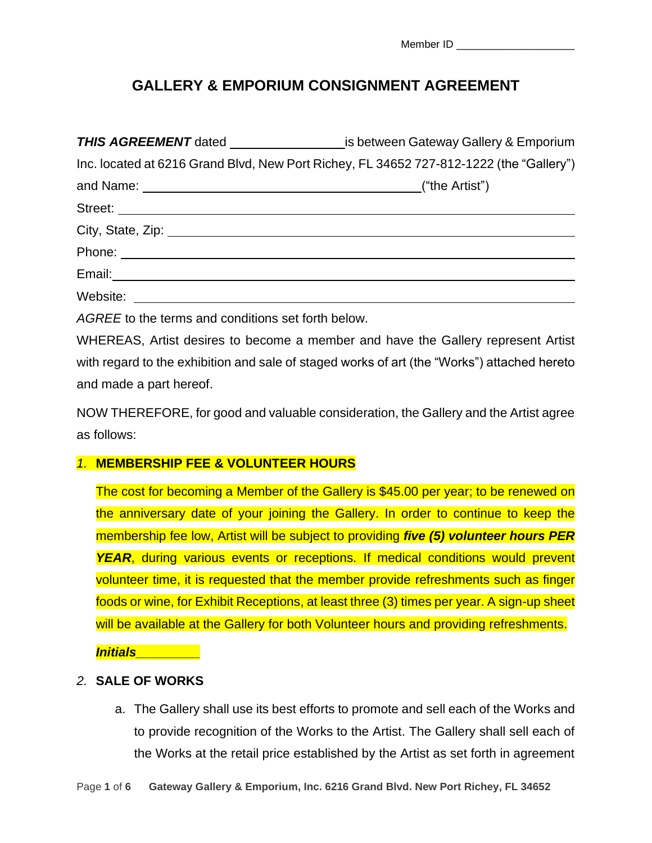Member ID **and all the motor** 

# **GALLERY & EMPORIUM CONSIGNMENT AGREEMENT**

|                                                                                                                                                                                                                                      | <b>THIS AGREEMENT</b> dated ________________________is between Gateway Gallery & Emporium |
|--------------------------------------------------------------------------------------------------------------------------------------------------------------------------------------------------------------------------------------|-------------------------------------------------------------------------------------------|
|                                                                                                                                                                                                                                      | Inc. located at 6216 Grand Blvd, New Port Richey, FL 34652 727-812-1222 (the "Gallery")   |
|                                                                                                                                                                                                                                      |                                                                                           |
| Street: <u>with the community of the community of the community of the community of the community of the community of the community of the community of the community of the community of the community of the community of the </u> |                                                                                           |
|                                                                                                                                                                                                                                      |                                                                                           |
|                                                                                                                                                                                                                                      |                                                                                           |
|                                                                                                                                                                                                                                      |                                                                                           |
| Website: <u>_______________________________</u>                                                                                                                                                                                      |                                                                                           |
| AGREE to the terms and conditions set forth below.                                                                                                                                                                                   |                                                                                           |
|                                                                                                                                                                                                                                      | WULDEAS Artist desires to become a member and boys the Collegy represent Artist           |

WHEREAS, Artist desires to become a member and have the Gallery represent Artist with regard to the exhibition and sale of staged works of art (the "Works") attached hereto and made a part hereof.

NOW THEREFORE, for good and valuable consideration, the Gallery and the Artist agree as follows:

# *1.* **MEMBERSHIP FEE & VOLUNTEER HOURS**

The cost for becoming a Member of the Gallery is \$45.00 per year; to be renewed on the anniversary date of your joining the Gallery. In order to continue to keep the membership fee low, Artist will be subject to providing *five (5) volunteer hours PER*  **YEAR**, during various events or receptions. If medical conditions would prevent volunteer time, it is requested that the member provide refreshments such as finger foods or wine, for Exhibit Receptions, at least three (3) times per year. A sign-up sheet will be available at the Gallery for both Volunteer hours and providing refreshments.

*Initials\_\_\_\_\_\_\_\_\_*

# *2.* **SALE OF WORKS**

a. The Gallery shall use its best efforts to promote and sell each of the Works and to provide recognition of the Works to the Artist. The Gallery shall sell each of the Works at the retail price established by the Artist as set forth in agreement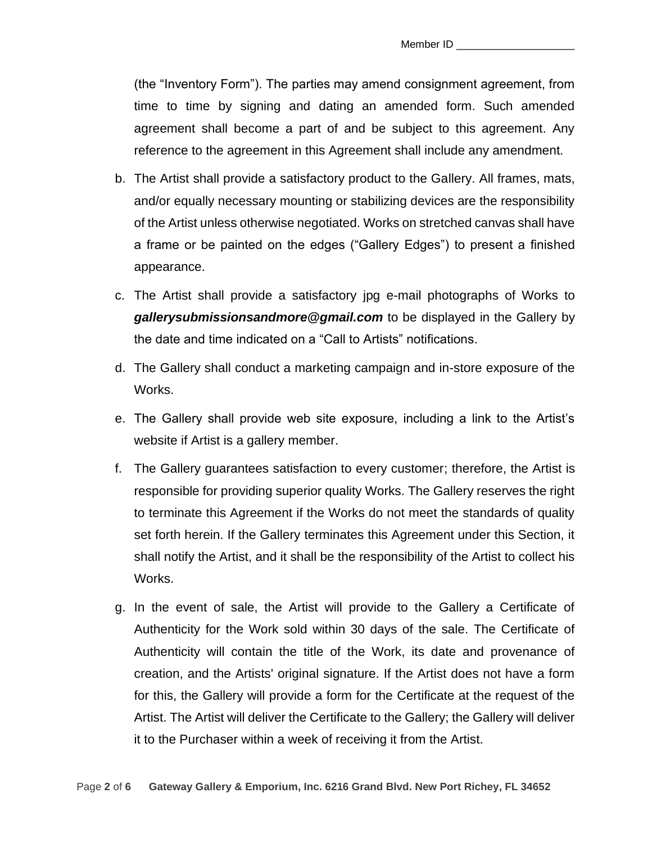(the "Inventory Form"). The parties may amend consignment agreement, from time to time by signing and dating an amended form. Such amended agreement shall become a part of and be subject to this agreement. Any reference to the agreement in this Agreement shall include any amendment.

- b. The Artist shall provide a satisfactory product to the Gallery. All frames, mats, and/or equally necessary mounting or stabilizing devices are the responsibility of the Artist unless otherwise negotiated. Works on stretched canvas shall have a frame or be painted on the edges ("Gallery Edges") to present a finished appearance.
- c. The Artist shall provide a satisfactory jpg e-mail photographs of Works to *gallerysubmissionsandmore@gmail.com* to be displayed in the Gallery by the date and time indicated on a "Call to Artists" notifications.
- d. The Gallery shall conduct a marketing campaign and in-store exposure of the Works.
- e. The Gallery shall provide web site exposure, including a link to the Artist's website if Artist is a gallery member.
- f. The Gallery guarantees satisfaction to every customer; therefore, the Artist is responsible for providing superior quality Works. The Gallery reserves the right to terminate this Agreement if the Works do not meet the standards of quality set forth herein. If the Gallery terminates this Agreement under this Section, it shall notify the Artist, and it shall be the responsibility of the Artist to collect his Works.
- g. In the event of sale, the Artist will provide to the Gallery a Certificate of Authenticity for the Work sold within 30 days of the sale. The Certificate of Authenticity will contain the title of the Work, its date and provenance of creation, and the Artists' original signature. If the Artist does not have a form for this, the Gallery will provide a form for the Certificate at the request of the Artist. The Artist will deliver the Certificate to the Gallery; the Gallery will deliver it to the Purchaser within a week of receiving it from the Artist.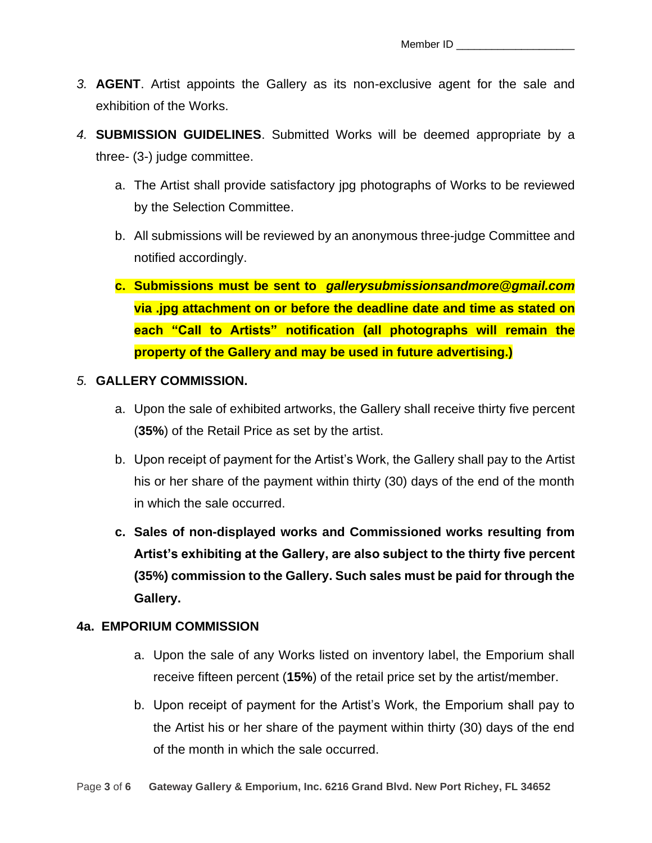- *3.* **AGENT**. Artist appoints the Gallery as its non-exclusive agent for the sale and exhibition of the Works.
- *4.* **SUBMISSION GUIDELINES**. Submitted Works will be deemed appropriate by a three- (3-) judge committee.
	- a. The Artist shall provide satisfactory jpg photographs of Works to be reviewed by the Selection Committee.
	- b. All submissions will be reviewed by an anonymous three-judge Committee and notified accordingly.
	- **c. Submissions must be sent to** *gallerysubmissionsandmore@gmail.com* **via .jpg attachment on or before the deadline date and time as stated on each "Call to Artists" notification (all photographs will remain the property of the Gallery and may be used in future advertising.)**

#### *5.* **GALLERY COMMISSION.**

- a. Upon the sale of exhibited artworks, the Gallery shall receive thirty five percent (**35%**) of the Retail Price as set by the artist.
- b. Upon receipt of payment for the Artist's Work, the Gallery shall pay to the Artist his or her share of the payment within thirty (30) days of the end of the month in which the sale occurred.
- **c. Sales of non-displayed works and Commissioned works resulting from Artist's exhibiting at the Gallery, are also subject to the thirty five percent (35%) commission to the Gallery. Such sales must be paid for through the Gallery.**

#### **4a. EMPORIUM COMMISSION**

- a. Upon the sale of any Works listed on inventory label, the Emporium shall receive fifteen percent (**15%**) of the retail price set by the artist/member.
- b. Upon receipt of payment for the Artist's Work, the Emporium shall pay to the Artist his or her share of the payment within thirty (30) days of the end of the month in which the sale occurred.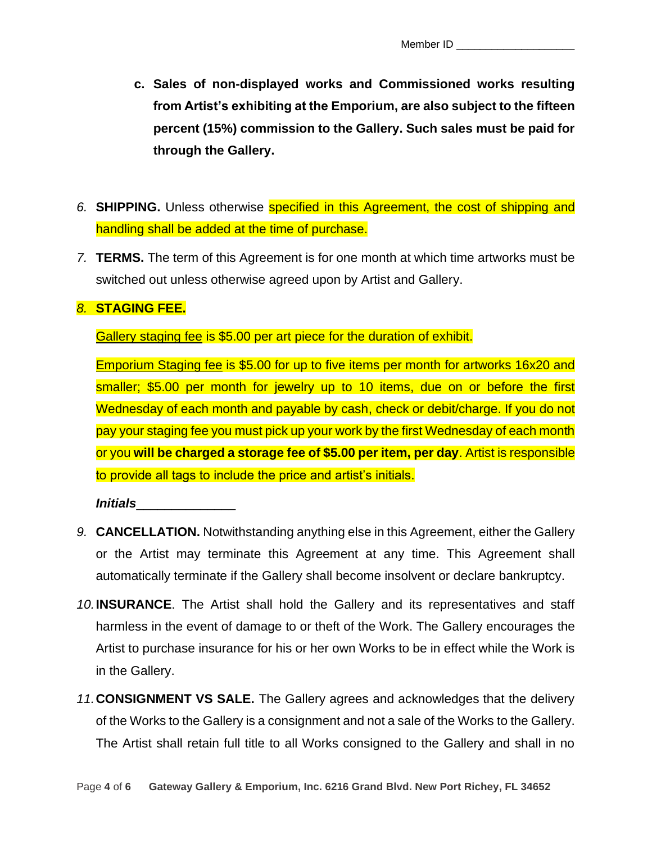- **c. Sales of non-displayed works and Commissioned works resulting from Artist's exhibiting at the Emporium, are also subject to the fifteen percent (15%) commission to the Gallery. Such sales must be paid for through the Gallery.**
- *6.* **SHIPPING.** Unless otherwise specified in this Agreement, the cost of shipping and handling shall be added at the time of purchase.
- *7.* **TERMS.** The term of this Agreement is for one month at which time artworks must be switched out unless otherwise agreed upon by Artist and Gallery.

## *8.* **STAGING FEE.**

Gallery staging fee is \$5.00 per art piece for the duration of exhibit.

Emporium Staging fee is \$5.00 for up to five items per month for artworks 16x20 and smaller; \$5.00 per month for jewelry up to 10 items, due on or before the first Wednesday of each month and payable by cash, check or debit/charge. If you do not pay your staging fee you must pick up your work by the first Wednesday of each month or you **will be charged a storage fee of \$5.00 per item, per day**. Artist is responsible to provide all tags to include the price and artist's initials.

*Initials*\_\_\_\_\_\_\_\_\_\_\_\_\_\_

- *9.* **CANCELLATION.** Notwithstanding anything else in this Agreement, either the Gallery or the Artist may terminate this Agreement at any time. This Agreement shall automatically terminate if the Gallery shall become insolvent or declare bankruptcy.
- *10.***INSURANCE**. The Artist shall hold the Gallery and its representatives and staff harmless in the event of damage to or theft of the Work. The Gallery encourages the Artist to purchase insurance for his or her own Works to be in effect while the Work is in the Gallery.
- *11.***CONSIGNMENT VS SALE.** The Gallery agrees and acknowledges that the delivery of the Works to the Gallery is a consignment and not a sale of the Works to the Gallery. The Artist shall retain full title to all Works consigned to the Gallery and shall in no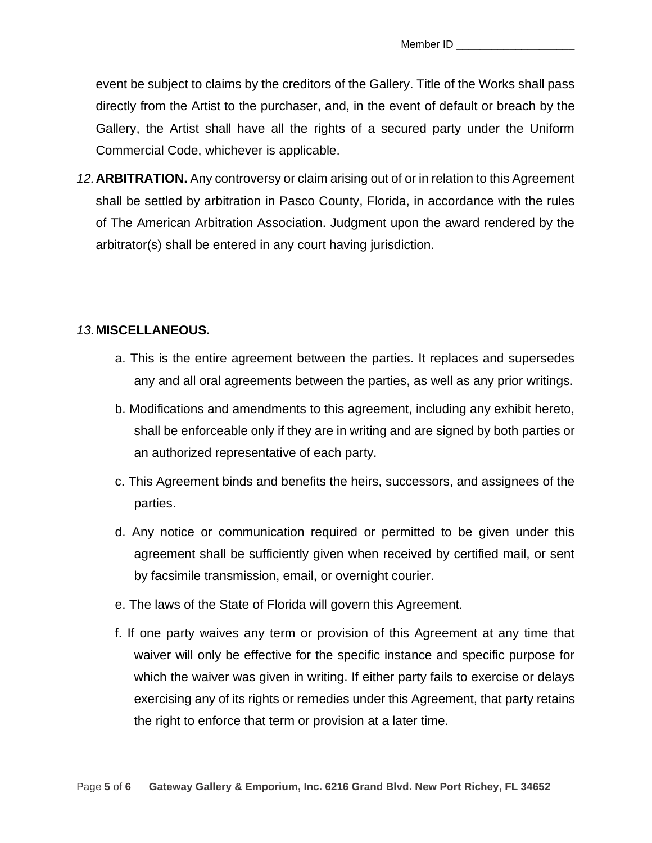event be subject to claims by the creditors of the Gallery. Title of the Works shall pass directly from the Artist to the purchaser, and, in the event of default or breach by the Gallery, the Artist shall have all the rights of a secured party under the Uniform Commercial Code, whichever is applicable.

*12.***ARBITRATION.** Any controversy or claim arising out of or in relation to this Agreement shall be settled by arbitration in Pasco County, Florida, in accordance with the rules of The American Arbitration Association. Judgment upon the award rendered by the arbitrator(s) shall be entered in any court having jurisdiction.

## *13.***MISCELLANEOUS.**

- a. This is the entire agreement between the parties. It replaces and supersedes any and all oral agreements between the parties, as well as any prior writings.
- b. Modifications and amendments to this agreement, including any exhibit hereto, shall be enforceable only if they are in writing and are signed by both parties or an authorized representative of each party.
- c. This Agreement binds and benefits the heirs, successors, and assignees of the parties.
- d. Any notice or communication required or permitted to be given under this agreement shall be sufficiently given when received by certified mail, or sent by facsimile transmission, email, or overnight courier.
- e. The laws of the State of Florida will govern this Agreement.
- f. If one party waives any term or provision of this Agreement at any time that waiver will only be effective for the specific instance and specific purpose for which the waiver was given in writing. If either party fails to exercise or delays exercising any of its rights or remedies under this Agreement, that party retains the right to enforce that term or provision at a later time.